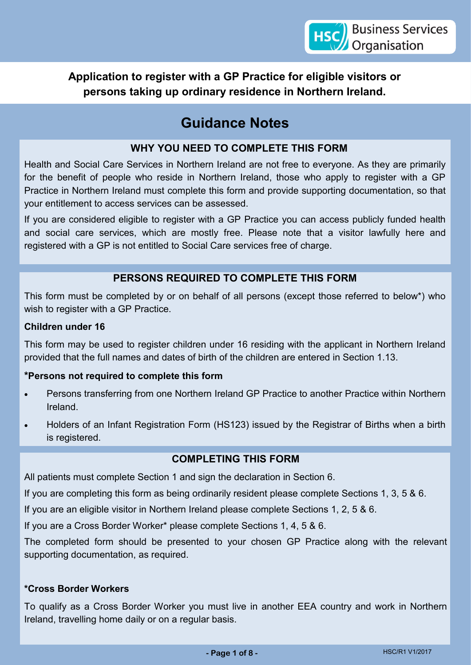**Application to register with a GP Practice for eligible visitors or persons taking up ordinary residence in Northern Ireland.**

# **Guidance Notes**

## **WHY YOU NEED TO COMPLETE THIS FORM**

Health and Social Care Services in Northern Ireland are not free to everyone. As they are primarily for the benefit of people who reside in Northern Ireland, those who apply to register with a GP Practice in Northern Ireland must complete this form and provide supporting documentation, so that your entitlement to access services can be assessed.

If you are considered eligible to register with a GP Practice you can access publicly funded health and social care services, which are mostly free. Please note that a visitor lawfully here and registered with a GP is not entitled to Social Care services free of charge.

## **PERSONS REQUIRED TO COMPLETE THIS FORM**

This form must be completed by or on behalf of all persons (except those referred to below\*) who wish to register with a GP Practice.

#### **Children under 16**

This form may be used to register children under 16 residing with the applicant in Northern Ireland provided that the full names and dates of birth of the children are entered in Section 1.13.

## **\*Persons not required to complete this form**

- Persons transferring from one Northern Ireland GP Practice to another Practice within Northern Ireland.
- Holders of an Infant Registration Form (HS123) issued by the Registrar of Births when a birth is registered.

## **COMPLETING THIS FORM**

All patients must complete Section 1 and sign the declaration in Section 6.

If you are completing this form as being ordinarily resident please complete Sections 1, 3, 5 & 6.

If you are an eligible visitor in Northern Ireland please complete Sections 1, 2, 5 & 6.

If you are a Cross Border Worker\* please complete Sections 1, 4, 5 & 6.

The completed form should be presented to your chosen GP Practice along with the relevant supporting documentation, as required.

#### **\*Cross Border Workers**

To qualify as a Cross Border Worker you must live in another EEA country and work in Northern Ireland, travelling home daily or on a regular basis.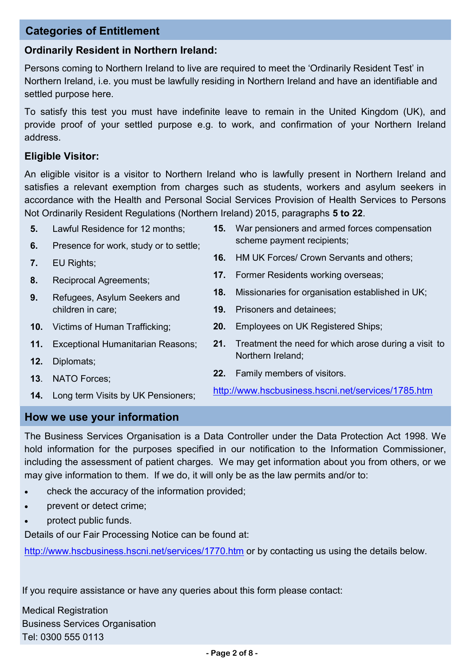## **Categories of Entitlement**

## **Ordinarily Resident in Northern Ireland:**

Persons coming to Northern Ireland to live are required to meet the 'Ordinarily Resident Test' in Northern Ireland, i.e. you must be lawfully residing in Northern Ireland and have an identifiable and settled purpose here.

To satisfy this test you must have indefinite leave to remain in the United Kingdom (UK), and provide proof of your settled purpose e.g. to work, and confirmation of your Northern Ireland address.

#### **Eligible Visitor:**

An eligible visitor is a visitor to Northern Ireland who is lawfully present in Northern Ireland and satisfies a relevant exemption from charges such as students, workers and asylum seekers in accordance with the Health and Personal Social Services Provision of Health Services to Persons Not Ordinarily Resident Regulations (Northern Ireland) 2015, paragraphs **5 to 22**.

- **5.** Lawful Residence for 12 months; **15.** War pensioners and armed forces compensation
- **6.** Presence for work, study or to settle;
- **7.** EU Rights;
- **8.** Reciprocal Agreements;
- **9.** Refugees, Asylum Seekers and children in care;
- **10.** Victims of Human Trafficking;
- **11.** Exceptional Humanitarian Reasons;
- **12.** Diplomats;
- **13**. NATO Forces;
- **14.** Long term Visits by UK Pensioners;
- scheme payment recipients;
- **16.** HM UK Forces/ Crown Servants and others;
- **17.** Former Residents working overseas;
- **18.** Missionaries for organisation established in UK;
- **19.** Prisoners and detainees;
- **20.** Employees on UK Registered Ships;
- **21.** Treatment the need for which arose during a visit to Northern Ireland;
- **22.** Family members of visitors.

<http://www.hscbusiness.hscni.net/services/1785.htm>

## **How we use your information**

The Business Services Organisation is a Data Controller under the Data Protection Act 1998. We hold information for the purposes specified in our notification to the Information Commissioner, including the assessment of patient charges. We may get information about you from others, or we may give information to them. If we do, it will only be as the law permits and/or to:

- check the accuracy of the information provided;
- prevent or detect crime;
- protect public funds.

Details of our Fair Processing Notice can be found at:

<http://www.hscbusiness.hscni.net/services/1770.htm> or by contacting us using the details below.

If you require assistance or have any queries about this form please contact:

Medical Registration Business Services Organisation Tel: 0300 555 0113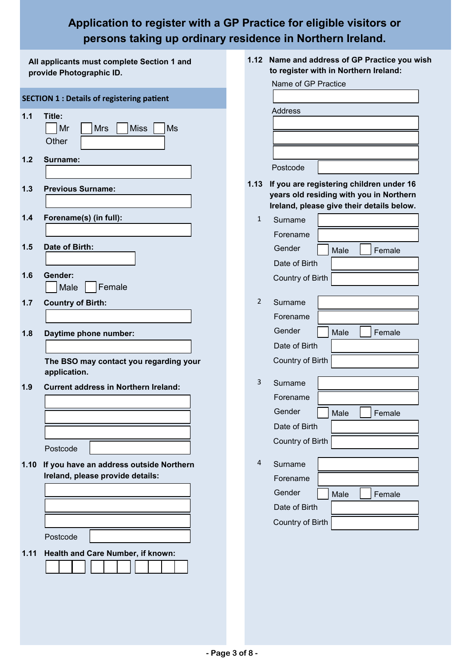# **Application to register with a GP Practice for eligible visitors or persons taking up ordinary residence in Northern Ireland.**

| All applicants must complete Section 1 and<br>provide Photographic ID. |                                                   |                | 1.12 Name and address of GP Practice you wish<br>to register with in Northern Ireland: |  |  |
|------------------------------------------------------------------------|---------------------------------------------------|----------------|----------------------------------------------------------------------------------------|--|--|
|                                                                        |                                                   |                | Name of GP Practice                                                                    |  |  |
|                                                                        | <b>SECTION 1 : Details of registering patient</b> |                |                                                                                        |  |  |
| 1.1                                                                    | Title:                                            |                | <b>Address</b>                                                                         |  |  |
|                                                                        | Mr<br><b>Mrs</b><br><b>Miss</b><br><b>Ms</b>      |                |                                                                                        |  |  |
|                                                                        | Other                                             |                |                                                                                        |  |  |
| 1.2                                                                    | Surname:                                          |                |                                                                                        |  |  |
|                                                                        |                                                   |                | Postcode                                                                               |  |  |
| 1.3                                                                    | <b>Previous Surname:</b>                          | 1.13           | If you are registering children under 16                                               |  |  |
|                                                                        |                                                   |                | years old residing with you in Northern                                                |  |  |
| 1.4                                                                    | Forename(s) (in full):                            | $\mathbf{1}$   | Ireland, please give their details below.<br>Surname                                   |  |  |
|                                                                        |                                                   |                | Forename                                                                               |  |  |
| 1.5                                                                    | Date of Birth:                                    |                | Gender                                                                                 |  |  |
|                                                                        |                                                   |                | Male<br>Female<br>Date of Birth                                                        |  |  |
| 1.6                                                                    | Gender:                                           |                | Country of Birth                                                                       |  |  |
|                                                                        | Female<br>Male                                    |                |                                                                                        |  |  |
| 1.7                                                                    | <b>Country of Birth:</b>                          | $\overline{2}$ | Surname                                                                                |  |  |
|                                                                        |                                                   |                | Forename                                                                               |  |  |
| 1.8                                                                    | Daytime phone number:                             |                | Gender<br>Male<br>Female                                                               |  |  |
|                                                                        |                                                   |                | Date of Birth                                                                          |  |  |
|                                                                        | The BSO may contact you regarding your            |                | Country of Birth                                                                       |  |  |
|                                                                        | application.                                      |                |                                                                                        |  |  |
| 1.9                                                                    | <b>Current address in Northern Ireland:</b>       | 3              | Surname                                                                                |  |  |
|                                                                        |                                                   |                | Forename                                                                               |  |  |
|                                                                        |                                                   |                | Gender<br>Male<br>Female                                                               |  |  |
|                                                                        |                                                   |                | Date of Birth                                                                          |  |  |
|                                                                        | Postcode                                          |                | Country of Birth                                                                       |  |  |
| 1.10                                                                   | If you have an address outside Northern           | 4              | Surname                                                                                |  |  |
|                                                                        | Ireland, please provide details:                  |                | Forename                                                                               |  |  |
|                                                                        |                                                   |                | Gender<br>Male<br>Female                                                               |  |  |
|                                                                        |                                                   |                | Date of Birth                                                                          |  |  |
|                                                                        |                                                   |                | Country of Birth                                                                       |  |  |
|                                                                        | Postcode                                          |                |                                                                                        |  |  |
| 1.11                                                                   | Health and Care Number, if known:                 |                |                                                                                        |  |  |
|                                                                        |                                                   |                |                                                                                        |  |  |
|                                                                        |                                                   |                |                                                                                        |  |  |
|                                                                        |                                                   |                |                                                                                        |  |  |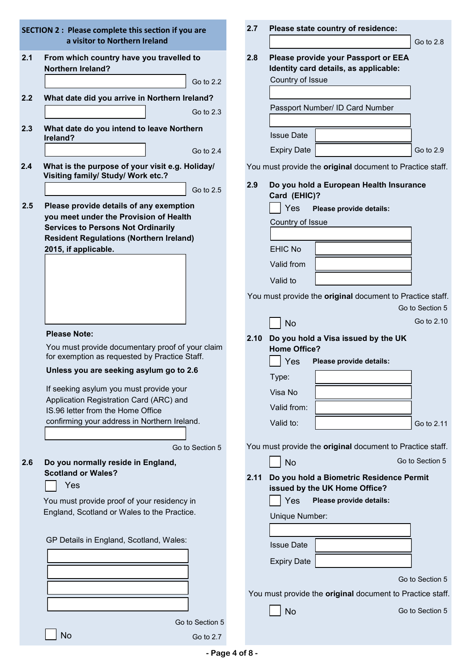|     | <b>SECTION 2: Please complete this section if you are</b>                                         | 2.7  | Please state country of residence:                                           |
|-----|---------------------------------------------------------------------------------------------------|------|------------------------------------------------------------------------------|
|     | a visitor to Northern Ireland                                                                     |      | Go to 2.8                                                                    |
| 2.1 | From which country have you travelled to<br><b>Northern Ireland?</b>                              | 2.8  | Please provide your Passport or EEA<br>Identity card details, as applicable: |
|     | Go to 2.2                                                                                         |      | Country of Issue                                                             |
| 2.2 | What date did you arrive in Northern Ireland?                                                     |      |                                                                              |
|     | Go to 2.3                                                                                         |      | Passport Number/ ID Card Number                                              |
| 2.3 | What date do you intend to leave Northern<br>Ireland?                                             |      | <b>Issue Date</b>                                                            |
|     | Go to 2.4                                                                                         |      | <b>Expiry Date</b><br>Go to 2.9                                              |
| 2.4 | What is the purpose of your visit e.g. Holiday/<br>Visiting family/ Study/ Work etc.?             |      | You must provide the original document to Practice staff.                    |
|     | Go to 2.5                                                                                         | 2.9  | Do you hold a European Health Insurance<br>Card (EHIC)?                      |
| 2.5 | Please provide details of any exemption                                                           |      | Yes<br>Please provide details:                                               |
|     | you meet under the Provision of Health<br><b>Services to Persons Not Ordinarily</b>               |      | Country of Issue                                                             |
|     | <b>Resident Regulations (Northern Ireland)</b>                                                    |      |                                                                              |
|     | 2015, if applicable.                                                                              |      | <b>EHIC No</b>                                                               |
|     |                                                                                                   |      | Valid from                                                                   |
|     |                                                                                                   |      | Valid to                                                                     |
|     |                                                                                                   |      | You must provide the original document to Practice staff.                    |
|     |                                                                                                   |      | Go to Section 5                                                              |
|     |                                                                                                   |      | Go to 2.10<br><b>No</b>                                                      |
|     | <b>Please Note:</b>                                                                               | 2.10 | Do you hold a Visa issued by the UK                                          |
|     | You must provide documentary proof of your claim<br>for exemption as requested by Practice Staff. |      | <b>Home Office?</b><br>Yes<br>Please provide details:                        |
|     | Unless you are seeking asylum go to 2.6                                                           |      | Type:                                                                        |
|     | If seeking asylum you must provide your                                                           |      | Visa No                                                                      |
|     | Application Registration Card (ARC) and                                                           |      | Valid from:                                                                  |
|     | IS.96 letter from the Home Office<br>confirming your address in Northern Ireland.                 |      | Valid to:<br>Go to 2.11                                                      |
|     |                                                                                                   |      |                                                                              |
|     | Go to Section 5                                                                                   |      | You must provide the original document to Practice staff.                    |
| 2.6 | Do you normally reside in England,                                                                |      | Go to Section 5<br><b>No</b>                                                 |
|     | <b>Scotland or Wales?</b>                                                                         | 2.11 | Do you hold a Biometric Residence Permit                                     |
|     | Yes                                                                                               |      | issued by the UK Home Office?                                                |
|     | You must provide proof of your residency in                                                       |      | Yes<br>Please provide details:                                               |
|     | England, Scotland or Wales to the Practice.                                                       |      | Unique Number:                                                               |
|     |                                                                                                   |      |                                                                              |
|     | GP Details in England, Scotland, Wales:                                                           |      | <b>Issue Date</b>                                                            |
|     |                                                                                                   |      | <b>Expiry Date</b>                                                           |
|     |                                                                                                   |      | Go to Section 5                                                              |
|     |                                                                                                   |      | You must provide the original document to Practice staff.                    |
|     |                                                                                                   |      | Go to Section 5                                                              |
|     | Go to Section 5                                                                                   |      | <b>No</b>                                                                    |
|     | <b>No</b><br>Go to 2.7                                                                            |      |                                                                              |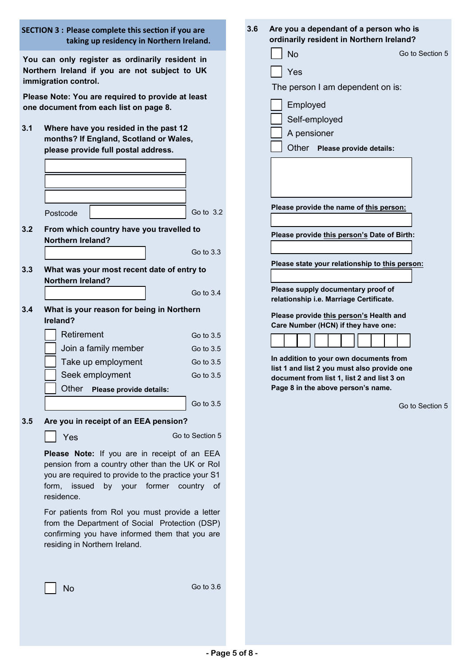| <b>SECTION 3: Please complete this section if you are</b><br>taking up residency in Northern Ireland. |                                                                                                                                                                                                                         |  | 3.6 | Are you a dependant of a person who is<br>ordinarily resident in Northern Ireland?                                                                                                           |  |  |  |
|-------------------------------------------------------------------------------------------------------|-------------------------------------------------------------------------------------------------------------------------------------------------------------------------------------------------------------------------|--|-----|----------------------------------------------------------------------------------------------------------------------------------------------------------------------------------------------|--|--|--|
|                                                                                                       | You can only register as ordinarily resident in<br>Northern Ireland if you are not subject to UK<br>immigration control.<br>Please Note: You are required to provide at least<br>one document from each list on page 8. |  |     | Go to Section 5<br><b>No</b><br>Yes<br>The person I am dependent on is:<br>Employed<br>Self-employed                                                                                         |  |  |  |
| 3.1                                                                                                   | Where have you resided in the past 12<br>months? If England, Scotland or Wales,<br>please provide full postal address.                                                                                                  |  |     | A pensioner<br>Other Please provide details:                                                                                                                                                 |  |  |  |
| 3.2                                                                                                   | Go to 3.2<br>Postcode<br>From which country have you travelled to<br><b>Northern Ireland?</b>                                                                                                                           |  |     | Please provide the name of this person:<br>Please provide this person's Date of Birth:                                                                                                       |  |  |  |
| 3.3                                                                                                   | Go to 3.3<br>What was your most recent date of entry to<br><b>Northern Ireland?</b>                                                                                                                                     |  |     | Please state your relationship to this person:                                                                                                                                               |  |  |  |
| 3.4                                                                                                   | Go to 3.4<br>What is your reason for being in Northern<br>Ireland?                                                                                                                                                      |  |     | Please supply documentary proof of<br>relationship i.e. Marriage Certificate.<br>Please provide this person's Health and<br>Care Number (HCN) if they have one:                              |  |  |  |
|                                                                                                       | Retirement<br>Go to 3.5<br>Join a family member<br>Go to 3.5<br>Take up employment<br>Go to 3.5<br>Seek employment<br>Go to 3.5<br>Other<br>Please provide details:<br>Go to 3.5                                        |  |     | In addition to your own documents from<br>list 1 and list 2 you must also provide one<br>document from list 1, list 2 and list 3 on<br>Page 8 in the above person's name.<br>Go to Section 5 |  |  |  |
| 3.5                                                                                                   | Are you in receipt of an EEA pension?<br>Go to Section 5<br>Yes                                                                                                                                                         |  |     |                                                                                                                                                                                              |  |  |  |
|                                                                                                       | Please Note: If you are in receipt of an EEA<br>pension from a country other than the UK or Rol<br>you are required to provide to the practice your S1<br>form, issued by your former country of<br>residence.          |  |     |                                                                                                                                                                                              |  |  |  |
|                                                                                                       | For patients from RoI you must provide a letter<br>from the Department of Social Protection (DSP)<br>confirming you have informed them that you are<br>residing in Northern Ireland.                                    |  |     |                                                                                                                                                                                              |  |  |  |
|                                                                                                       | Go to 3.6<br>No                                                                                                                                                                                                         |  |     |                                                                                                                                                                                              |  |  |  |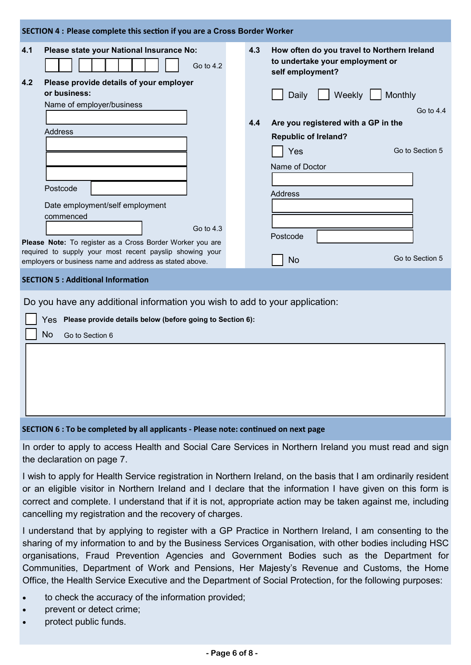| SECTION 4 : Please complete this section if you are a Cross Border Worker                                                                    |  |     |                                                                                                    |  |  |  |  |
|----------------------------------------------------------------------------------------------------------------------------------------------|--|-----|----------------------------------------------------------------------------------------------------|--|--|--|--|
| Please state your National Insurance No:<br>4.1<br>Go to $4.2$<br>4.2<br>Please provide details of your employer<br>or business:             |  | 4.3 | How often do you travel to Northern Ireland<br>to undertake your employment or<br>self employment? |  |  |  |  |
|                                                                                                                                              |  |     | Weekly<br>Monthly<br>Daily                                                                         |  |  |  |  |
| Name of employer/business                                                                                                                    |  |     | Go to $4.4$                                                                                        |  |  |  |  |
|                                                                                                                                              |  | 4.4 | Are you registered with a GP in the                                                                |  |  |  |  |
| <b>Address</b>                                                                                                                               |  |     | <b>Republic of Ireland?</b>                                                                        |  |  |  |  |
|                                                                                                                                              |  |     | Go to Section 5                                                                                    |  |  |  |  |
|                                                                                                                                              |  |     | Yes                                                                                                |  |  |  |  |
|                                                                                                                                              |  |     | Name of Doctor                                                                                     |  |  |  |  |
|                                                                                                                                              |  |     |                                                                                                    |  |  |  |  |
| Postcode                                                                                                                                     |  |     | <b>Address</b>                                                                                     |  |  |  |  |
| Date employment/self employment                                                                                                              |  |     |                                                                                                    |  |  |  |  |
| commenced                                                                                                                                    |  |     |                                                                                                    |  |  |  |  |
| Go to 4.3                                                                                                                                    |  |     |                                                                                                    |  |  |  |  |
|                                                                                                                                              |  |     | Postcode                                                                                           |  |  |  |  |
| Please Note: To register as a Cross Border Worker you are<br>required to supply your most recent payslip showing your                        |  |     |                                                                                                    |  |  |  |  |
| employers or business name and address as stated above.                                                                                      |  |     | Go to Section 5<br><b>No</b>                                                                       |  |  |  |  |
| <b>SECTION 5: Additional Information</b>                                                                                                     |  |     |                                                                                                    |  |  |  |  |
| Do you have any additional information you wish to add to your application:<br>Yes Please provide details below (before going to Section 6): |  |     |                                                                                                    |  |  |  |  |

#### **SECTION 6 : To be completed by all applicants - Please note: continued on next page**

In order to apply to access Health and Social Care Services in Northern Ireland you must read and sign the declaration on page 7.

I wish to apply for Health Service registration in Northern Ireland, on the basis that I am ordinarily resident or an eligible visitor in Northern Ireland and I declare that the information I have given on this form is correct and complete. I understand that if it is not, appropriate action may be taken against me, including cancelling my registration and the recovery of charges.

I understand that by applying to register with a GP Practice in Northern Ireland, I am consenting to the sharing of my information to and by the Business Services Organisation, with other bodies including HSC organisations, Fraud Prevention Agencies and Government Bodies such as the Department for Communities, Department of Work and Pensions, Her Majesty's Revenue and Customs, the Home Office, the Health Service Executive and the Department of Social Protection, for the following purposes:

- to check the accuracy of the information provided;
- prevent or detect crime;

No Go to Section 6

protect public funds.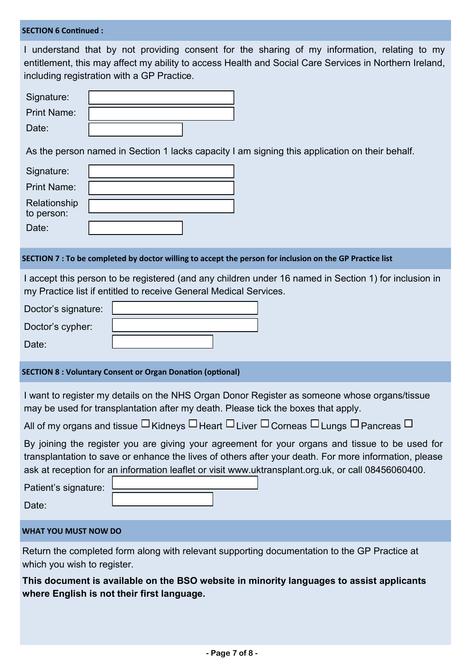#### **SECTION 6 Continued :**

I understand that by not providing consent for the sharing of my information, relating to my entitlement, this may affect my ability to access Health and Social Care Services in Northern Ireland, including registration with a GP Practice.

| Signature:         |  |
|--------------------|--|
| <b>Print Name:</b> |  |
| Date:              |  |

As the person named in Section 1 lacks capacity I am signing this application on their behalf.

| Signature:                 |  |
|----------------------------|--|
| <b>Print Name:</b>         |  |
| Relationship<br>to person: |  |
| Date:                      |  |

#### **SECTION 7 : To be completed by doctor willing to accept the person for inclusion on the GP Practice list**

I accept this person to be registered (and any children under 16 named in Section 1) for inclusion in my Practice list if entitled to receive General Medical Services.

| Doctor's signature: |  |
|---------------------|--|
| Doctor's cypher:    |  |
| Date:               |  |

#### **SECTION 8 : Voluntary Consent or Organ Donation (optional)**

I want to register my details on the NHS Organ Donor Register as someone whose organs/tissue may be used for transplantation after my death. Please tick the boxes that apply.

| All of my organs and tissue $\sqcup$ Kidneys $\sqcup$ Heart $\sqcup$ Liver $\sqcup$ Corneas $\sqcup$ Lungs $\sqcup$ Pancreas $\sqcup$ |  |  |  |
|---------------------------------------------------------------------------------------------------------------------------------------|--|--|--|
|                                                                                                                                       |  |  |  |

By joining the register you are giving your agreement for your organs and tissue to be used for transplantation to save or enhance the lives of others after your death. For more information, please ask at reception for an information leaflet or visit www.uktransplant.org.uk, or call 08456060400.

| Patient's signature: |  |
|----------------------|--|
|                      |  |
| Date:                |  |

#### **WHAT YOU MUST NOW DO**

Return the completed form along with relevant supporting documentation to the GP Practice at which you wish to register.

**This document is available on the BSO website in minority languages to assist applicants where English is not their first language.**